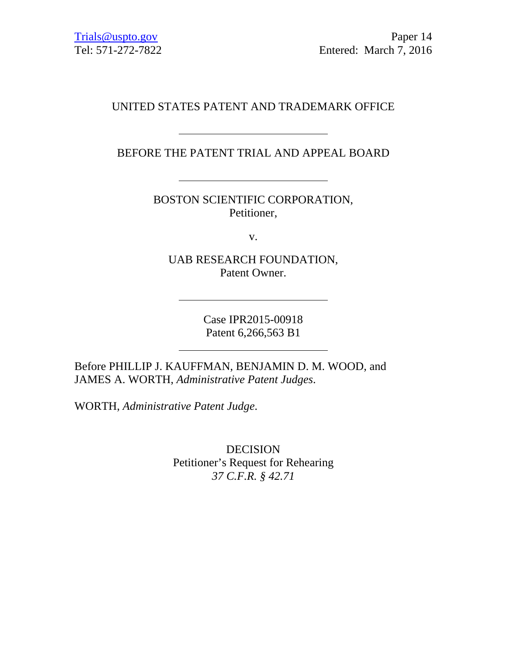# UNITED STATES PATENT AND TRADEMARK OFFICE

BEFORE THE PATENT TRIAL AND APPEAL BOARD

<u> 1990 - Johann Barbara, martin a</u>

BOSTON SCIENTIFIC CORPORATION, Petitioner,

v.

UAB RESEARCH FOUNDATION, Patent Owner.

> Case IPR2015-00918 Patent 6,266,563 B1

Before PHILLIP J. KAUFFMAN, BENJAMIN D. M. WOOD, and JAMES A. WORTH, *Administrative Patent Judges*.

WORTH, *Administrative Patent Judge*.

DECISION Petitioner's Request for Rehearing *37 C.F.R. § 42.71*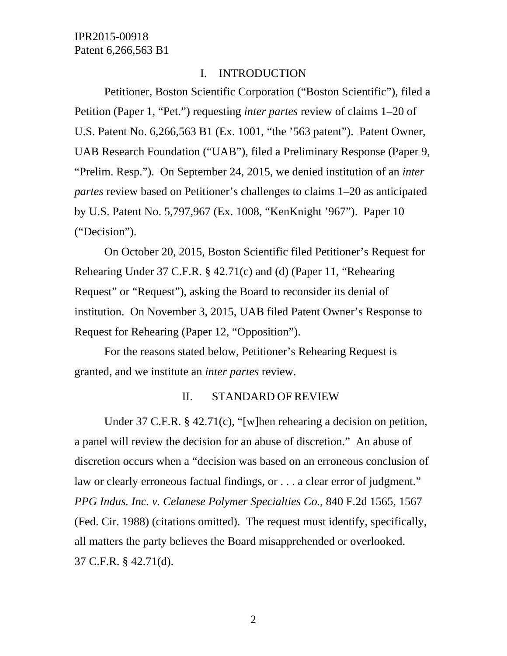#### I. INTRODUCTION

Petitioner, Boston Scientific Corporation ("Boston Scientific"), filed a Petition (Paper 1, "Pet.") requesting *inter partes* review of claims 1–20 of U.S. Patent No. 6,266,563 B1 (Ex. 1001, "the '563 patent"). Patent Owner, UAB Research Foundation ("UAB"), filed a Preliminary Response (Paper 9, "Prelim. Resp."). On September 24, 2015, we denied institution of an *inter partes* review based on Petitioner's challenges to claims 1–20 as anticipated by U.S. Patent No. 5,797,967 (Ex. 1008, "KenKnight '967"). Paper 10 ("Decision").

On October 20, 2015, Boston Scientific filed Petitioner's Request for Rehearing Under 37 C.F.R. § 42.71(c) and (d) (Paper 11, "Rehearing Request" or "Request"), asking the Board to reconsider its denial of institution. On November 3, 2015, UAB filed Patent Owner's Response to Request for Rehearing (Paper 12, "Opposition").

For the reasons stated below, Petitioner's Rehearing Request is granted, and we institute an *inter partes* review.

#### II. STANDARD OF REVIEW

Under 37 C.F.R. § 42.71(c), "[w]hen rehearing a decision on petition, a panel will review the decision for an abuse of discretion." An abuse of discretion occurs when a "decision was based on an erroneous conclusion of law or clearly erroneous factual findings, or . . . a clear error of judgment." *PPG Indus. Inc. v. Celanese Polymer Specialties Co.*, 840 F.2d 1565, 1567 (Fed. Cir. 1988) (citations omitted). The request must identify, specifically, all matters the party believes the Board misapprehended or overlooked. 37 C.F.R. § 42.71(d).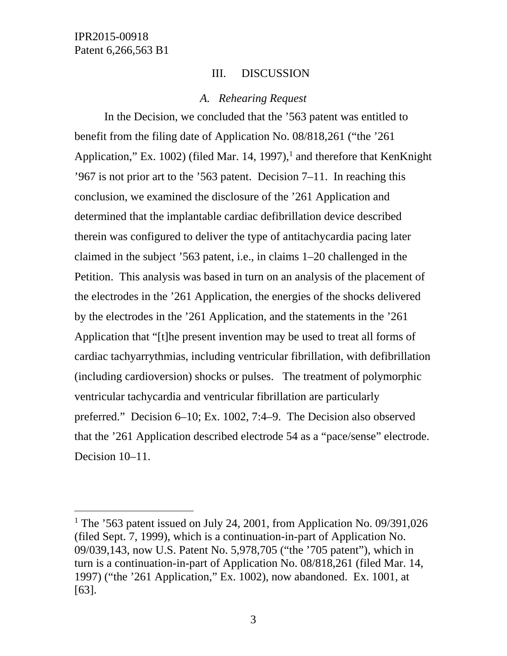l

## III. DISCUSSION

#### *A. Rehearing Request*

In the Decision, we concluded that the '563 patent was entitled to benefit from the filing date of Application No. 08/818,261 ("the '261 Application," Ex. 1002) (filed Mar. 14, 1997),<sup>1</sup> and therefore that KenKnight '967 is not prior art to the '563 patent. Decision 7–11. In reaching this conclusion, we examined the disclosure of the '261 Application and determined that the implantable cardiac defibrillation device described therein was configured to deliver the type of antitachycardia pacing later claimed in the subject '563 patent, i.e., in claims 1–20 challenged in the Petition. This analysis was based in turn on an analysis of the placement of the electrodes in the '261 Application, the energies of the shocks delivered by the electrodes in the '261 Application, and the statements in the '261 Application that "[t]he present invention may be used to treat all forms of cardiac tachyarrythmias, including ventricular fibrillation, with defibrillation (including cardioversion) shocks or pulses. The treatment of polymorphic ventricular tachycardia and ventricular fibrillation are particularly preferred." Decision 6–10; Ex. 1002, 7:4–9. The Decision also observed that the '261 Application described electrode 54 as a "pace/sense" electrode. Decision 10–11.

<sup>&</sup>lt;sup>1</sup> The '563 patent issued on July 24, 2001, from Application No. 09/391,026 (filed Sept. 7, 1999), which is a continuation-in-part of Application No. 09/039,143, now U.S. Patent No. 5,978,705 ("the '705 patent"), which in turn is a continuation-in-part of Application No. 08/818,261 (filed Mar. 14, 1997) ("the '261 Application," Ex. 1002), now abandoned. Ex. 1001, at [63].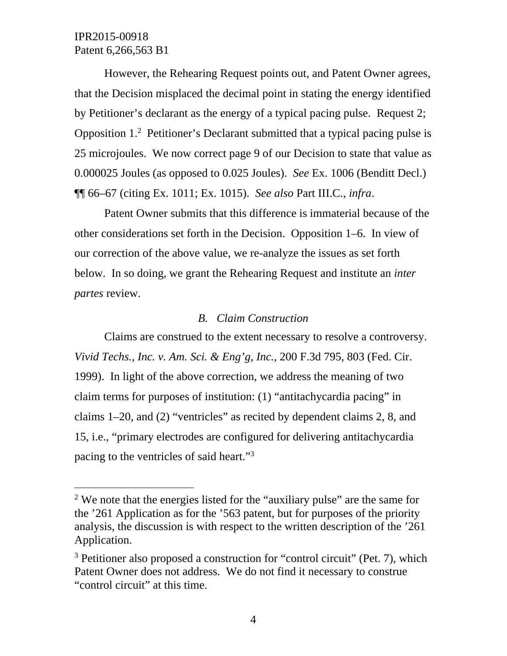-

However, the Rehearing Request points out, and Patent Owner agrees, that the Decision misplaced the decimal point in stating the energy identified by Petitioner's declarant as the energy of a typical pacing pulse. Request 2; Opposition 1.2 Petitioner's Declarant submitted that a typical pacing pulse is 25 microjoules. We now correct page 9 of our Decision to state that value as 0.000025 Joules (as opposed to 0.025 Joules). *See* Ex. 1006 (Benditt Decl.) ¶¶ 66–67 (citing Ex. 1011; Ex. 1015). *See also* Part III.C., *infra*.

Patent Owner submits that this difference is immaterial because of the other considerations set forth in the Decision. Opposition 1–6. In view of our correction of the above value, we re-analyze the issues as set forth below. In so doing, we grant the Rehearing Request and institute an *inter partes* review.

#### *B. Claim Construction*

Claims are construed to the extent necessary to resolve a controversy. *Vivid Techs., Inc. v. Am. Sci. & Eng'g, Inc.*, 200 F.3d 795, 803 (Fed. Cir. 1999). In light of the above correction, we address the meaning of two claim terms for purposes of institution: (1) "antitachycardia pacing" in claims 1–20, and (2) "ventricles" as recited by dependent claims 2, 8, and 15, i.e., "primary electrodes are configured for delivering antitachycardia pacing to the ventricles of said heart."3

<sup>&</sup>lt;sup>2</sup> We note that the energies listed for the "auxiliary pulse" are the same for the '261 Application as for the '563 patent, but for purposes of the priority analysis, the discussion is with respect to the written description of the '261 Application.

<sup>&</sup>lt;sup>3</sup> Petitioner also proposed a construction for "control circuit" (Pet. 7), which Patent Owner does not address. We do not find it necessary to construe "control circuit" at this time.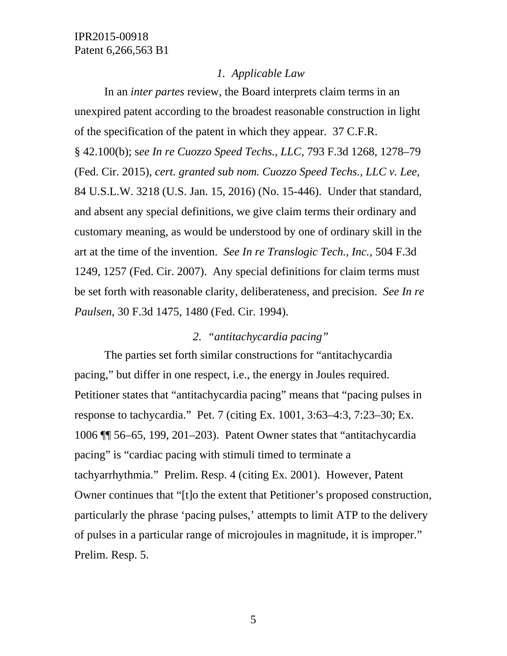#### *1. Applicable Law*

In an *inter partes* review, the Board interprets claim terms in an unexpired patent according to the broadest reasonable construction in light of the specification of the patent in which they appear. 37 C.F.R. § 42.100(b); s*ee In re Cuozzo Speed Techs., LLC*, 793 F.3d 1268, 1278–79 (Fed. Cir. 2015), *cert. granted sub nom. Cuozzo Speed Techs., LLC v. Lee*, 84 U.S.L.W. 3218 (U.S. Jan. 15, 2016) (No. 15-446). Under that standard, and absent any special definitions, we give claim terms their ordinary and customary meaning, as would be understood by one of ordinary skill in the art at the time of the invention. *See In re Translogic Tech., Inc.*, 504 F.3d 1249, 1257 (Fed. Cir. 2007). Any special definitions for claim terms must be set forth with reasonable clarity, deliberateness, and precision. *See In re Paulsen*, 30 F.3d 1475, 1480 (Fed. Cir. 1994).

# *2. "antitachycardia pacing"*

The parties set forth similar constructions for "antitachycardia pacing," but differ in one respect, i.e., the energy in Joules required. Petitioner states that "antitachycardia pacing" means that "pacing pulses in response to tachycardia." Pet. 7 (citing Ex. 1001, 3:63–4:3, 7:23–30; Ex. 1006 ¶¶ 56–65, 199, 201–203). Patent Owner states that "antitachycardia pacing" is "cardiac pacing with stimuli timed to terminate a tachyarrhythmia." Prelim. Resp. 4 (citing Ex. 2001). However, Patent Owner continues that "[t]o the extent that Petitioner's proposed construction, particularly the phrase 'pacing pulses,' attempts to limit ATP to the delivery of pulses in a particular range of microjoules in magnitude, it is improper." Prelim. Resp. 5.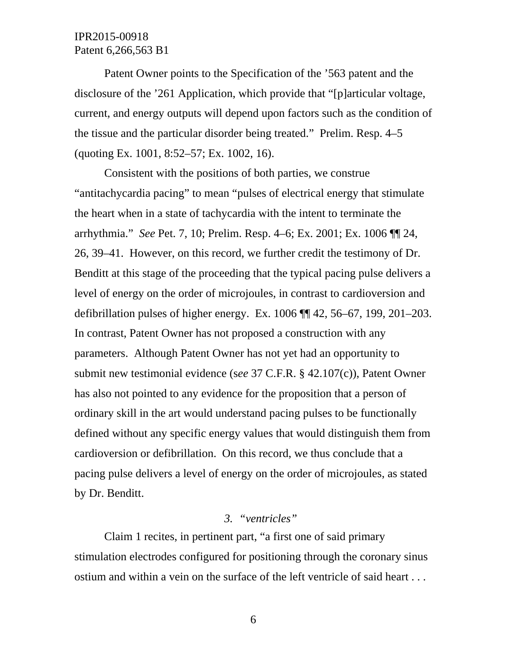Patent Owner points to the Specification of the '563 patent and the disclosure of the '261 Application, which provide that "[p]articular voltage, current, and energy outputs will depend upon factors such as the condition of the tissue and the particular disorder being treated." Prelim. Resp. 4–5 (quoting Ex. 1001, 8:52–57; Ex. 1002, 16).

Consistent with the positions of both parties, we construe "antitachycardia pacing" to mean "pulses of electrical energy that stimulate the heart when in a state of tachycardia with the intent to terminate the arrhythmia." *See* Pet. 7, 10; Prelim. Resp. 4–6; Ex. 2001; Ex. 1006 ¶¶ 24, 26, 39–41. However, on this record, we further credit the testimony of Dr. Benditt at this stage of the proceeding that the typical pacing pulse delivers a level of energy on the order of microjoules, in contrast to cardioversion and defibrillation pulses of higher energy. Ex. 1006 ¶¶ 42, 56–67, 199, 201–203. In contrast, Patent Owner has not proposed a construction with any parameters. Although Patent Owner has not yet had an opportunity to submit new testimonial evidence (s*ee* 37 C.F.R. § 42.107(c)), Patent Owner has also not pointed to any evidence for the proposition that a person of ordinary skill in the art would understand pacing pulses to be functionally defined without any specific energy values that would distinguish them from cardioversion or defibrillation. On this record, we thus conclude that a pacing pulse delivers a level of energy on the order of microjoules, as stated by Dr. Benditt.

#### *3. "ventricles"*

Claim 1 recites, in pertinent part, "a first one of said primary stimulation electrodes configured for positioning through the coronary sinus ostium and within a vein on the surface of the left ventricle of said heart . . .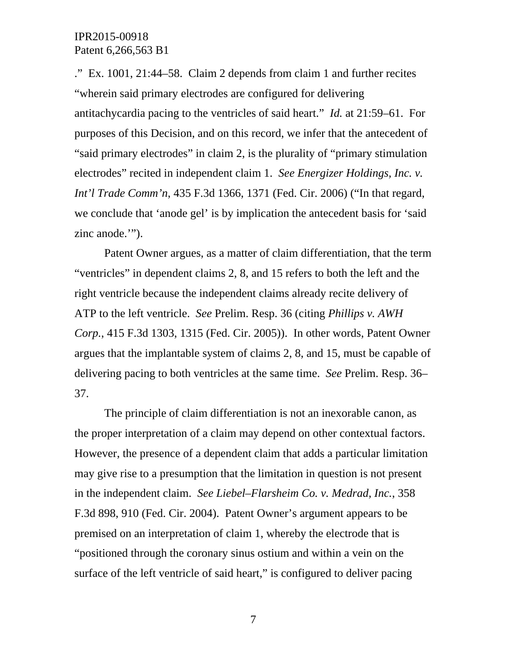." Ex. 1001, 21:44–58. Claim 2 depends from claim 1 and further recites "wherein said primary electrodes are configured for delivering antitachycardia pacing to the ventricles of said heart." *Id.* at 21:59–61. For purposes of this Decision, and on this record, we infer that the antecedent of "said primary electrodes" in claim 2, is the plurality of "primary stimulation electrodes" recited in independent claim 1. *See Energizer Holdings, Inc. v. Int'l Trade Comm'n*, 435 F.3d 1366, 1371 (Fed. Cir. 2006) ("In that regard, we conclude that 'anode gel' is by implication the antecedent basis for 'said zinc anode.'").

Patent Owner argues, as a matter of claim differentiation, that the term "ventricles" in dependent claims 2, 8, and 15 refers to both the left and the right ventricle because the independent claims already recite delivery of ATP to the left ventricle. *See* Prelim. Resp. 36 (citing *Phillips v. AWH Corp.*, 415 F.3d 1303, 1315 (Fed. Cir. 2005)). In other words, Patent Owner argues that the implantable system of claims 2, 8, and 15, must be capable of delivering pacing to both ventricles at the same time. *See* Prelim. Resp. 36– 37.

The principle of claim differentiation is not an inexorable canon, as the proper interpretation of a claim may depend on other contextual factors. However, the presence of a dependent claim that adds a particular limitation may give rise to a presumption that the limitation in question is not present in the independent claim. *See Liebel–Flarsheim Co. v. Medrad, Inc.*, 358 F.3d 898, 910 (Fed. Cir. 2004). Patent Owner's argument appears to be premised on an interpretation of claim 1, whereby the electrode that is "positioned through the coronary sinus ostium and within a vein on the surface of the left ventricle of said heart," is configured to deliver pacing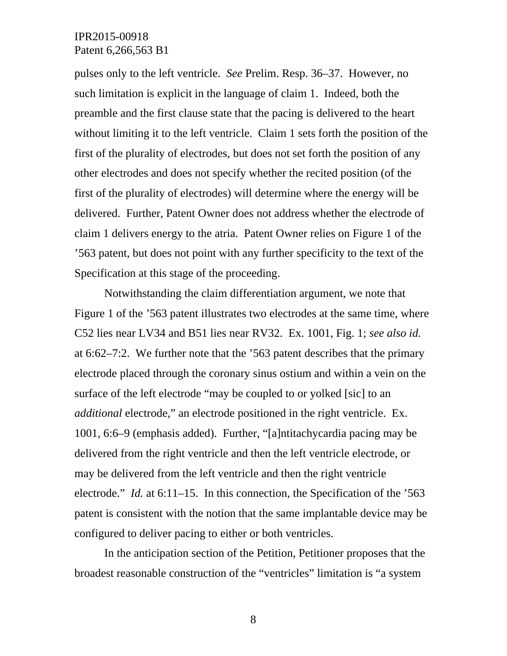pulses only to the left ventricle. *See* Prelim. Resp. 36–37. However, no such limitation is explicit in the language of claim 1. Indeed, both the preamble and the first clause state that the pacing is delivered to the heart without limiting it to the left ventricle. Claim 1 sets forth the position of the first of the plurality of electrodes, but does not set forth the position of any other electrodes and does not specify whether the recited position (of the first of the plurality of electrodes) will determine where the energy will be delivered. Further, Patent Owner does not address whether the electrode of claim 1 delivers energy to the atria. Patent Owner relies on Figure 1 of the '563 patent, but does not point with any further specificity to the text of the Specification at this stage of the proceeding.

Notwithstanding the claim differentiation argument, we note that Figure 1 of the '563 patent illustrates two electrodes at the same time, where C52 lies near LV34 and B51 lies near RV32. Ex. 1001, Fig. 1; *see also id.* at 6:62–7:2. We further note that the '563 patent describes that the primary electrode placed through the coronary sinus ostium and within a vein on the surface of the left electrode "may be coupled to or yolked [sic] to an *additional* electrode," an electrode positioned in the right ventricle. Ex. 1001, 6:6–9 (emphasis added). Further, "[a]ntitachycardia pacing may be delivered from the right ventricle and then the left ventricle electrode, or may be delivered from the left ventricle and then the right ventricle electrode." *Id.* at 6:11–15. In this connection, the Specification of the '563 patent is consistent with the notion that the same implantable device may be configured to deliver pacing to either or both ventricles.

In the anticipation section of the Petition, Petitioner proposes that the broadest reasonable construction of the "ventricles" limitation is "a system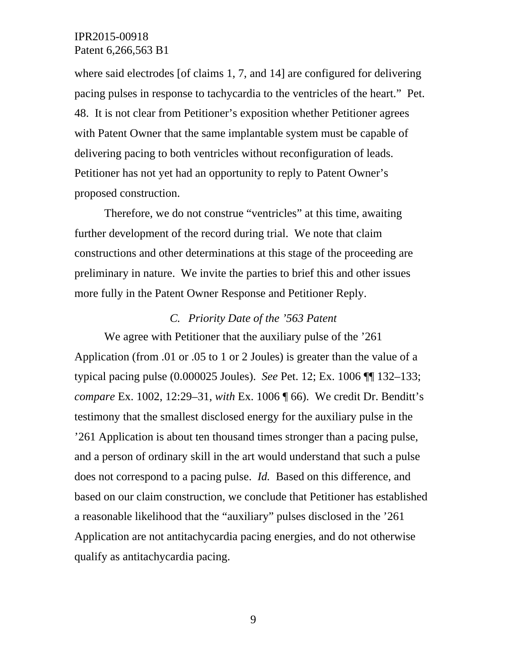where said electrodes [of claims 1, 7, and 14] are configured for delivering pacing pulses in response to tachycardia to the ventricles of the heart." Pet. 48. It is not clear from Petitioner's exposition whether Petitioner agrees with Patent Owner that the same implantable system must be capable of delivering pacing to both ventricles without reconfiguration of leads. Petitioner has not yet had an opportunity to reply to Patent Owner's proposed construction.

Therefore, we do not construe "ventricles" at this time, awaiting further development of the record during trial. We note that claim constructions and other determinations at this stage of the proceeding are preliminary in nature. We invite the parties to brief this and other issues more fully in the Patent Owner Response and Petitioner Reply.

#### *C. Priority Date of the '563 Patent*

We agree with Petitioner that the auxiliary pulse of the '261 Application (from .01 or .05 to 1 or 2 Joules) is greater than the value of a typical pacing pulse (0.000025 Joules). *See* Pet. 12; Ex. 1006 ¶¶ 132–133; *compare* Ex. 1002, 12:29–31, *with* Ex. 1006 ¶ 66). We credit Dr. Benditt's testimony that the smallest disclosed energy for the auxiliary pulse in the '261 Application is about ten thousand times stronger than a pacing pulse, and a person of ordinary skill in the art would understand that such a pulse does not correspond to a pacing pulse. *Id.* Based on this difference, and based on our claim construction, we conclude that Petitioner has established a reasonable likelihood that the "auxiliary" pulses disclosed in the '261 Application are not antitachycardia pacing energies, and do not otherwise qualify as antitachycardia pacing.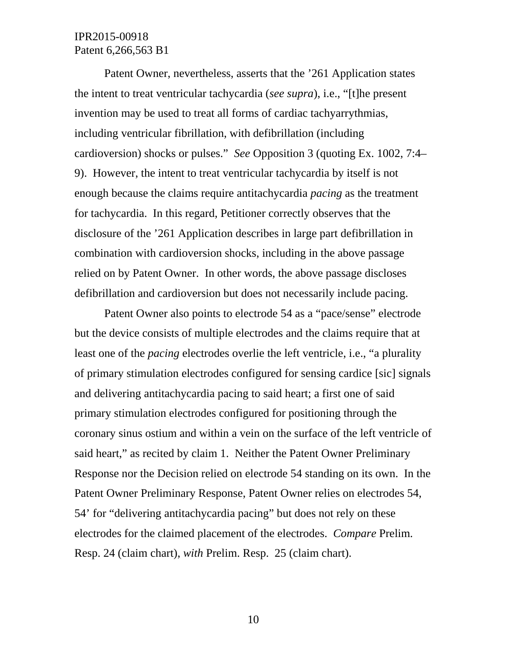Patent Owner, nevertheless, asserts that the '261 Application states the intent to treat ventricular tachycardia (*see supra*), i.e., "[t]he present invention may be used to treat all forms of cardiac tachyarrythmias, including ventricular fibrillation, with defibrillation (including cardioversion) shocks or pulses." *See* Opposition 3 (quoting Ex. 1002, 7:4– 9). However, the intent to treat ventricular tachycardia by itself is not enough because the claims require antitachycardia *pacing* as the treatment for tachycardia. In this regard, Petitioner correctly observes that the disclosure of the '261 Application describes in large part defibrillation in combination with cardioversion shocks, including in the above passage relied on by Patent Owner. In other words, the above passage discloses defibrillation and cardioversion but does not necessarily include pacing.

Patent Owner also points to electrode 54 as a "pace/sense" electrode but the device consists of multiple electrodes and the claims require that at least one of the *pacing* electrodes overlie the left ventricle, i.e., "a plurality of primary stimulation electrodes configured for sensing cardice [sic] signals and delivering antitachycardia pacing to said heart; a first one of said primary stimulation electrodes configured for positioning through the coronary sinus ostium and within a vein on the surface of the left ventricle of said heart," as recited by claim 1. Neither the Patent Owner Preliminary Response nor the Decision relied on electrode 54 standing on its own. In the Patent Owner Preliminary Response, Patent Owner relies on electrodes 54, 54' for "delivering antitachycardia pacing" but does not rely on these electrodes for the claimed placement of the electrodes. *Compare* Prelim. Resp. 24 (claim chart), *with* Prelim. Resp. 25 (claim chart).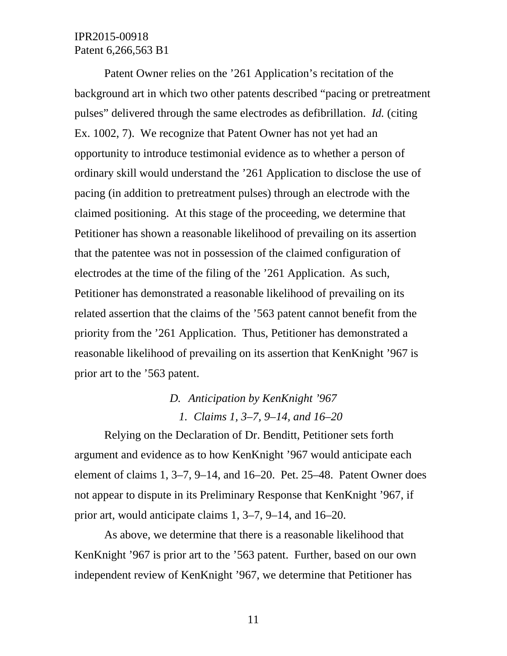Patent Owner relies on the '261 Application's recitation of the background art in which two other patents described "pacing or pretreatment pulses" delivered through the same electrodes as defibrillation. *Id.* (citing Ex. 1002, 7). We recognize that Patent Owner has not yet had an opportunity to introduce testimonial evidence as to whether a person of ordinary skill would understand the '261 Application to disclose the use of pacing (in addition to pretreatment pulses) through an electrode with the claimed positioning. At this stage of the proceeding, we determine that Petitioner has shown a reasonable likelihood of prevailing on its assertion that the patentee was not in possession of the claimed configuration of electrodes at the time of the filing of the '261 Application. As such, Petitioner has demonstrated a reasonable likelihood of prevailing on its related assertion that the claims of the '563 patent cannot benefit from the priority from the '261 Application. Thus, Petitioner has demonstrated a reasonable likelihood of prevailing on its assertion that KenKnight '967 is prior art to the '563 patent.

# *D. Anticipation by KenKnight '967 1. Claims 1, 3–7, 9–14, and 16–20*

Relying on the Declaration of Dr. Benditt, Petitioner sets forth argument and evidence as to how KenKnight '967 would anticipate each element of claims 1, 3–7, 9–14, and 16–20. Pet. 25–48. Patent Owner does not appear to dispute in its Preliminary Response that KenKnight '967, if prior art, would anticipate claims 1, 3–7, 9–14, and 16–20.

As above, we determine that there is a reasonable likelihood that KenKnight '967 is prior art to the '563 patent. Further, based on our own independent review of KenKnight '967, we determine that Petitioner has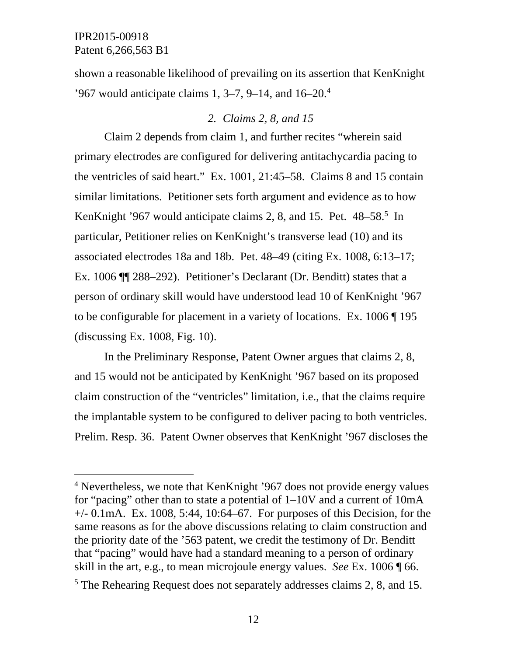$\overline{a}$ 

shown a reasonable likelihood of prevailing on its assertion that KenKnight '967 would anticipate claims  $1, 3-7, 9-14$ , and  $16-20$ .<sup>4</sup>

## *2. Claims 2, 8, and 15*

Claim 2 depends from claim 1, and further recites "wherein said primary electrodes are configured for delivering antitachycardia pacing to the ventricles of said heart." Ex. 1001, 21:45–58. Claims 8 and 15 contain similar limitations. Petitioner sets forth argument and evidence as to how KenKnight '967 would anticipate claims 2, 8, and 15. Pet. 48–58.<sup>5</sup> In particular, Petitioner relies on KenKnight's transverse lead (10) and its associated electrodes 18a and 18b. Pet. 48–49 (citing Ex. 1008, 6:13–17; Ex. 1006 ¶¶ 288–292). Petitioner's Declarant (Dr. Benditt) states that a person of ordinary skill would have understood lead 10 of KenKnight '967 to be configurable for placement in a variety of locations. Ex. 1006 ¶ 195 (discussing Ex. 1008, Fig. 10).

In the Preliminary Response, Patent Owner argues that claims 2, 8, and 15 would not be anticipated by KenKnight '967 based on its proposed claim construction of the "ventricles" limitation, i.e., that the claims require the implantable system to be configured to deliver pacing to both ventricles. Prelim. Resp. 36. Patent Owner observes that KenKnight '967 discloses the

<sup>&</sup>lt;sup>4</sup> Nevertheless, we note that KenKnight '967 does not provide energy values for "pacing" other than to state a potential of 1–10V and a current of 10mA  $+/-$  0.1mA. Ex. 1008, 5:44, 10:64–67. For purposes of this Decision, for the same reasons as for the above discussions relating to claim construction and the priority date of the '563 patent, we credit the testimony of Dr. Benditt that "pacing" would have had a standard meaning to a person of ordinary skill in the art, e.g., to mean microjoule energy values. *See* Ex. 1006 ¶ 66.

<sup>&</sup>lt;sup>5</sup> The Rehearing Request does not separately addresses claims 2, 8, and 15.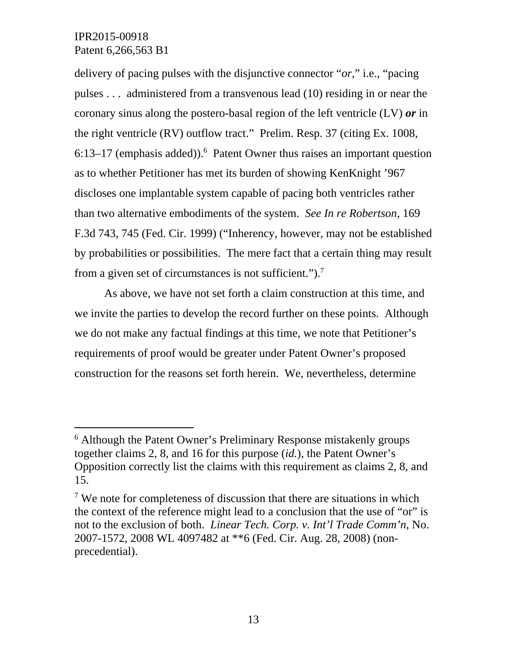l

delivery of pacing pulses with the disjunctive connector "*or*," i.e., "pacing pulses . . . administered from a transvenous lead (10) residing in or near the coronary sinus along the postero-basal region of the left ventricle (LV) *or* in the right ventricle (RV) outflow tract." Prelim. Resp. 37 (citing Ex. 1008,  $6:13-17$  (emphasis added)).<sup>6</sup> Patent Owner thus raises an important question as to whether Petitioner has met its burden of showing KenKnight '967 discloses one implantable system capable of pacing both ventricles rather than two alternative embodiments of the system. *See In re Robertson*, 169 F.3d 743, 745 (Fed. Cir. 1999) ("Inherency, however, may not be established by probabilities or possibilities. The mere fact that a certain thing may result from a given set of circumstances is not sufficient." $)^7$ .

As above, we have not set forth a claim construction at this time, and we invite the parties to develop the record further on these points. Although we do not make any factual findings at this time, we note that Petitioner's requirements of proof would be greater under Patent Owner's proposed construction for the reasons set forth herein. We, nevertheless, determine

<sup>&</sup>lt;sup>6</sup> Although the Patent Owner's Preliminary Response mistakenly groups together claims 2, 8, and 16 for this purpose (*id.*), the Patent Owner's Opposition correctly list the claims with this requirement as claims 2, 8, and 15.

<sup>&</sup>lt;sup>7</sup> We note for completeness of discussion that there are situations in which the context of the reference might lead to a conclusion that the use of "or" is not to the exclusion of both. *Linear Tech. Corp. v. Int'l Trade Comm'n,* No. 2007-1572, 2008 WL 4097482 at \*\*6 (Fed. Cir. Aug. 28, 2008) (nonprecedential).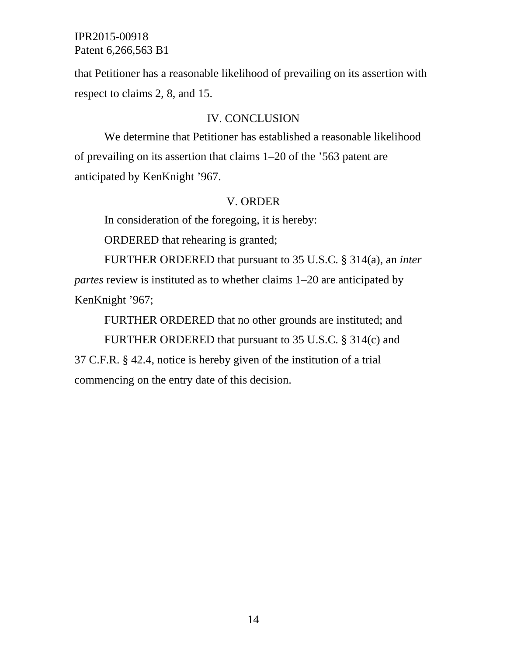that Petitioner has a reasonable likelihood of prevailing on its assertion with respect to claims 2, 8, and 15.

#### IV. CONCLUSION

We determine that Petitioner has established a reasonable likelihood of prevailing on its assertion that claims 1–20 of the '563 patent are anticipated by KenKnight '967.

#### V. ORDER

In consideration of the foregoing, it is hereby:

ORDERED that rehearing is granted;

FURTHER ORDERED that pursuant to 35 U.S.C. § 314(a), an *inter partes* review is instituted as to whether claims 1–20 are anticipated by KenKnight '967;

FURTHER ORDERED that no other grounds are instituted; and FURTHER ORDERED that pursuant to 35 U.S.C. § 314(c) and

37 C.F.R. § 42.4, notice is hereby given of the institution of a trial commencing on the entry date of this decision.